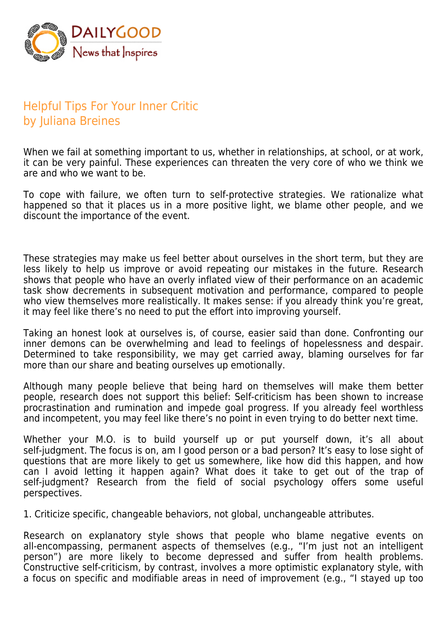

## Helpful Tips For Your Inner Critic by Juliana Breines

When we fail at something important to us, whether in relationships, at school, or at work, it can be very painful. These experiences can threaten the very core of who we think we are and who we want to be.

To cope with failure, we often turn to self-protective strategies. We rationalize what happened so that it places us in a more positive light, we blame other people, and we discount the importance of the event.

These strategies may make us feel better about ourselves in the short term, but they are less likely to help us improve or avoid repeating our mistakes in the future. Research shows that people who have an overly inflated view of their performance on an academic task show decrements in subsequent motivation and performance, compared to people who view themselves more realistically. It makes sense: if you already think you're great, it may feel like there's no need to put the effort into improving yourself.

Taking an honest look at ourselves is, of course, easier said than done. Confronting our inner demons can be overwhelming and lead to feelings of hopelessness and despair. Determined to take responsibility, we may get carried away, blaming ourselves for far more than our share and beating ourselves up emotionally.

Although many people believe that being hard on themselves will make them better people, research does not support this belief: Self-criticism has been shown to increase procrastination and rumination and impede goal progress. If you already feel worthless and incompetent, you may feel like there's no point in even trying to do better next time.

Whether your M.O. is to build yourself up or put yourself down, it's all about self-judgment. The focus is on, am I good person or a bad person? It's easy to lose sight of questions that are more likely to get us somewhere, like how did this happen, and how can I avoid letting it happen again? What does it take to get out of the trap of self-judgment? Research from the field of social psychology offers some useful perspectives.

1. Criticize specific, changeable behaviors, not global, unchangeable attributes.

Research on explanatory style shows that people who blame negative events on all-encompassing, permanent aspects of themselves (e.g., "I'm just not an intelligent person") are more likely to become depressed and suffer from health problems. Constructive self-criticism, by contrast, involves a more optimistic explanatory style, with a focus on specific and modifiable areas in need of improvement (e.g., "I stayed up too